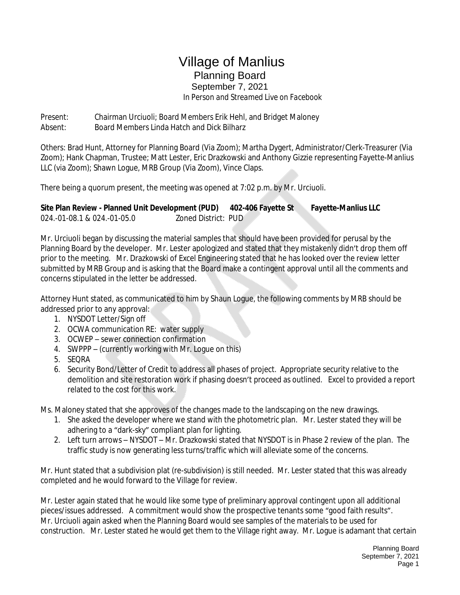## Village of Manlius Planning Board September 7, 2021

 *In Person and Streamed Live on Facebook*

Present: Chairman Urciuoli; Board Members Erik Hehl, and Bridget Maloney Absent: Board Members Linda Hatch and Dick Bilharz

Others: Brad Hunt, Attorney for Planning Board (Via Zoom); Martha Dygert, Administrator/Clerk-Treasurer (Via Zoom); Hank Chapman, Trustee; Matt Lester, Eric Drazkowski and Anthony Gizzie representing Fayette-Manlius LLC (via Zoom); Shawn Logue, MRB Group (Via Zoom), Vince Claps.

There being a quorum present, the meeting was opened at 7:02 p.m. by Mr. Urciuoli.

**Site Plan Review - Planned Unit Development (PUD) 402-406 Fayette St Fayette-Manlius LLC** 024.-01-08.1 & 024.-01-05.0 Zoned District: PUD

Mr. Urciuoli began by discussing the material samples that should have been provided for perusal by the Planning Board by the developer. Mr. Lester apologized and stated that they mistakenly didn't drop them off prior to the meeting. Mr. Drazkowski of Excel Engineering stated that he has looked over the review letter submitted by MRB Group and is asking that the Board make a contingent approval until all the comments and concerns stipulated in the letter be addressed.

Attorney Hunt stated, as communicated to him by Shaun Logue, the following comments by MRB should be addressed prior to any approval:

- 1. NYSDOT Letter/Sign off
- 2. OCWA communication RE: water supply
- 3. OCWEP sewer connection confirmation
- 4. SWPPP (currently working with Mr. Logue on this)
- 5. SEQRA
- 6. Security Bond/Letter of Credit to address all phases of project. Appropriate security relative to the demolition and site restoration work if phasing doesn't proceed as outlined. Excel to provided a report related to the cost for this work.

Ms. Maloney stated that she approves of the changes made to the landscaping on the new drawings.

- 1. She asked the developer where we stand with the photometric plan. Mr. Lester stated they will be adhering to a "dark-sky" compliant plan for lighting.
- 2. Left turn arrows NYSDOT Mr. Drazkowski stated that NYSDOT is in Phase 2 review of the plan. The traffic study is now generating less turns/traffic which will alleviate some of the concerns.

Mr. Hunt stated that a subdivision plat (re-subdivision) is still needed. Mr. Lester stated that this was already completed and he would forward to the Village for review.

Mr. Lester again stated that he would like some type of preliminary approval contingent upon all additional pieces/issues addressed. A commitment would show the prospective tenants some "good faith results". Mr. Urciuoli again asked when the Planning Board would see samples of the materials to be used for construction. Mr. Lester stated he would get them to the Village right away. Mr. Logue is adamant that certain